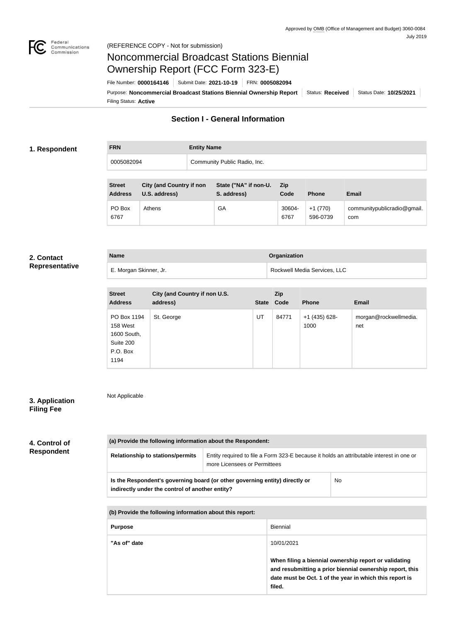

# Noncommercial Broadcast Stations Biennial Ownership Report (FCC Form 323-E)

Filing Status: **Active** Purpose: Noncommercial Broadcast Stations Biennial Ownership Report | Status: Received | Status Date: 10/25/2021 File Number: **0000164146** Submit Date: **2021-10-19** FRN: **0005082094**

# **Section I - General Information**

#### **1. Respondent**

**FRN Entity Name** 0005082094 Community Public Radio, Inc.

| <b>Street</b><br><b>Address</b> | <b>City (and Country if non</b><br>U.S. address) | State ("NA" if non-U.<br>S. address) | <b>Zip</b><br>Code | <b>Phone</b>          | <b>Email</b>                       |
|---------------------------------|--------------------------------------------------|--------------------------------------|--------------------|-----------------------|------------------------------------|
| PO Box<br>6767                  | Athens                                           | GA                                   | 30604-<br>6767     | $+1(770)$<br>596-0739 | communitypublicradio@gmail.<br>com |

#### **2. Contact Representative**

| <b>Name</b>            | Organization                 |
|------------------------|------------------------------|
| E. Morgan Skinner, Jr. | Rockwell Media Services, LLC |

| <b>Street</b><br><b>Address</b>                                         | City (and Country if non U.S.<br>address) |    | <b>Zip</b><br>State Code | <b>Phone</b>          | <b>Email</b>                 |
|-------------------------------------------------------------------------|-------------------------------------------|----|--------------------------|-----------------------|------------------------------|
| PO Box 1194<br>158 West<br>1600 South,<br>Suite 200<br>P.O. Box<br>1194 | St. George                                | UT | 84771                    | +1 (435) 628-<br>1000 | morgan@rockwellmedia.<br>net |

## **3. Application Filing Fee**

**4. Control of Respondent**

Not Applicable

# **(a) Provide the following information about the Respondent: Relationship to stations/permits** | Entity required to file a Form 323-E because it holds an attributable interest in one or more Licensees or Permittees **Is the Respondent's governing board (or other governing entity) directly or indirectly under the control of another entity?** No

**(b) Provide the following information about this report:**

| <b>Purpose</b> | Biennial                                                                                                                                                                               |
|----------------|----------------------------------------------------------------------------------------------------------------------------------------------------------------------------------------|
| "As of" date   | 10/01/2021                                                                                                                                                                             |
|                | When filing a biennial ownership report or validating<br>and resubmitting a prior biennial ownership report, this<br>date must be Oct. 1 of the year in which this report is<br>filed. |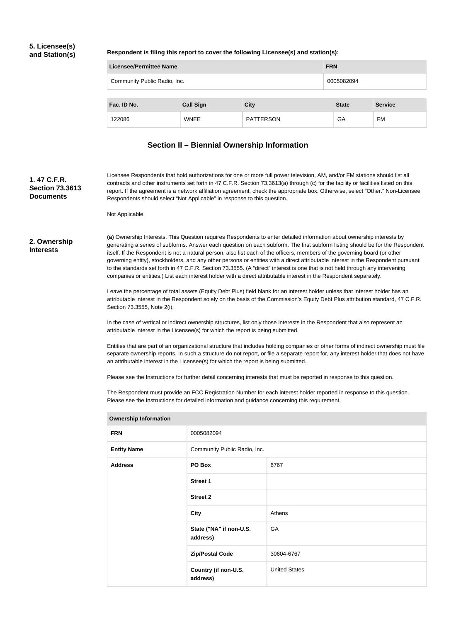### **5. Licensee(s) and Station(s)**

**Respondent is filing this report to cover the following Licensee(s) and station(s):**

| <b>FRN</b><br>Licensee/Permittee Name      |                  |                  |              |                |
|--------------------------------------------|------------------|------------------|--------------|----------------|
| Community Public Radio, Inc.<br>0005082094 |                  |                  |              |                |
|                                            |                  |                  |              |                |
| Fac. ID No.                                | <b>Call Sign</b> | <b>City</b>      | <b>State</b> | <b>Service</b> |
| 122086                                     | <b>WNEE</b>      | <b>PATTERSON</b> | GA           | FM             |

# **Section II – Biennial Ownership Information**

**1. 47 C.F.R. Section 73.3613 Documents**

Licensee Respondents that hold authorizations for one or more full power television, AM, and/or FM stations should list all contracts and other instruments set forth in 47 C.F.R. Section 73.3613(a) through (c) for the facility or facilities listed on this report. If the agreement is a network affiliation agreement, check the appropriate box. Otherwise, select "Other." Non-Licensee Respondents should select "Not Applicable" in response to this question.

Not Applicable.

#### **2. Ownership Interests**

**(a)** Ownership Interests. This Question requires Respondents to enter detailed information about ownership interests by generating a series of subforms. Answer each question on each subform. The first subform listing should be for the Respondent itself. If the Respondent is not a natural person, also list each of the officers, members of the governing board (or other governing entity), stockholders, and any other persons or entities with a direct attributable interest in the Respondent pursuant to the standards set forth in 47 C.F.R. Section 73.3555. (A "direct" interest is one that is not held through any intervening companies or entities.) List each interest holder with a direct attributable interest in the Respondent separately.

Leave the percentage of total assets (Equity Debt Plus) field blank for an interest holder unless that interest holder has an attributable interest in the Respondent solely on the basis of the Commission's Equity Debt Plus attribution standard, 47 C.F.R. Section 73.3555, Note 2(i).

In the case of vertical or indirect ownership structures, list only those interests in the Respondent that also represent an attributable interest in the Licensee(s) for which the report is being submitted.

Entities that are part of an organizational structure that includes holding companies or other forms of indirect ownership must file separate ownership reports. In such a structure do not report, or file a separate report for, any interest holder that does not have an attributable interest in the Licensee(s) for which the report is being submitted.

Please see the Instructions for further detail concerning interests that must be reported in response to this question.

The Respondent must provide an FCC Registration Number for each interest holder reported in response to this question. Please see the Instructions for detailed information and guidance concerning this requirement.

| <b>FRN</b>         | 0005082094                          |                      |  |
|--------------------|-------------------------------------|----------------------|--|
| <b>Entity Name</b> | Community Public Radio, Inc.        |                      |  |
| <b>Address</b>     | PO Box                              | 6767                 |  |
|                    | <b>Street 1</b>                     |                      |  |
|                    | <b>Street 2</b>                     |                      |  |
|                    | <b>City</b>                         | Athens               |  |
|                    | State ("NA" if non-U.S.<br>address) | GA                   |  |
|                    | <b>Zip/Postal Code</b>              | 30604-6767           |  |
|                    | Country (if non-U.S.<br>address)    | <b>United States</b> |  |
|                    |                                     |                      |  |

#### **Ownership Information**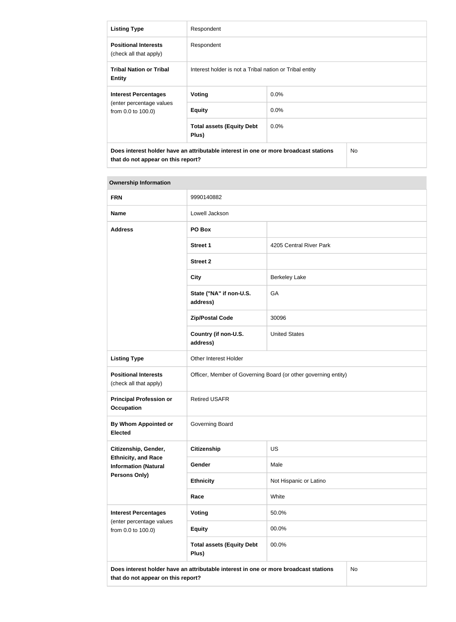| <b>Listing Type</b>                                                                                                                          | Respondent                                              |         |  |
|----------------------------------------------------------------------------------------------------------------------------------------------|---------------------------------------------------------|---------|--|
| <b>Positional Interests</b><br>(check all that apply)                                                                                        | Respondent                                              |         |  |
| <b>Tribal Nation or Tribal</b><br><b>Entity</b>                                                                                              | Interest holder is not a Tribal nation or Tribal entity |         |  |
| <b>Interest Percentages</b>                                                                                                                  | Voting                                                  | $0.0\%$ |  |
| (enter percentage values<br>from 0.0 to 100.0)                                                                                               | <b>Equity</b>                                           | $0.0\%$ |  |
|                                                                                                                                              | <b>Total assets (Equity Debt</b><br>Plus)               | $0.0\%$ |  |
| Does interest holder have an attributable interest in one or more broadcast stations<br>N <sub>o</sub><br>that do not appear on this report? |                                                         |         |  |

#### **Ownership Information**

| <b>FRN</b>                                                                                                                              | 9990140882                                                     |                         |  |
|-----------------------------------------------------------------------------------------------------------------------------------------|----------------------------------------------------------------|-------------------------|--|
| <b>Name</b>                                                                                                                             | Lowell Jackson                                                 |                         |  |
| <b>Address</b>                                                                                                                          | PO Box                                                         |                         |  |
|                                                                                                                                         | <b>Street 1</b>                                                | 4205 Central River Park |  |
|                                                                                                                                         | <b>Street 2</b>                                                |                         |  |
|                                                                                                                                         | <b>City</b>                                                    | <b>Berkeley Lake</b>    |  |
|                                                                                                                                         | State ("NA" if non-U.S.<br>address)                            | GA                      |  |
|                                                                                                                                         | <b>Zip/Postal Code</b>                                         | 30096                   |  |
|                                                                                                                                         | Country (if non-U.S.<br>address)                               | <b>United States</b>    |  |
| <b>Listing Type</b>                                                                                                                     | Other Interest Holder                                          |                         |  |
| <b>Positional Interests</b><br>(check all that apply)                                                                                   | Officer, Member of Governing Board (or other governing entity) |                         |  |
| <b>Principal Profession or</b><br><b>Occupation</b>                                                                                     | <b>Retired USAFR</b>                                           |                         |  |
| By Whom Appointed or<br><b>Elected</b>                                                                                                  | Governing Board                                                |                         |  |
| Citizenship, Gender,                                                                                                                    | <b>Citizenship</b>                                             | US                      |  |
| <b>Ethnicity, and Race</b><br><b>Information (Natural</b>                                                                               | Gender                                                         | Male                    |  |
| <b>Persons Only)</b>                                                                                                                    | <b>Ethnicity</b>                                               | Not Hispanic or Latino  |  |
|                                                                                                                                         | Race                                                           | White                   |  |
| <b>Interest Percentages</b>                                                                                                             | Voting                                                         | 50.0%                   |  |
| (enter percentage values<br>from 0.0 to 100.0)                                                                                          | <b>Equity</b>                                                  | 00.0%                   |  |
|                                                                                                                                         | <b>Total assets (Equity Debt</b><br>Plus)                      | 00.0%                   |  |
| <b>No</b><br>Does interest holder have an attributable interest in one or more broadcast stations<br>that do not appear on this report? |                                                                |                         |  |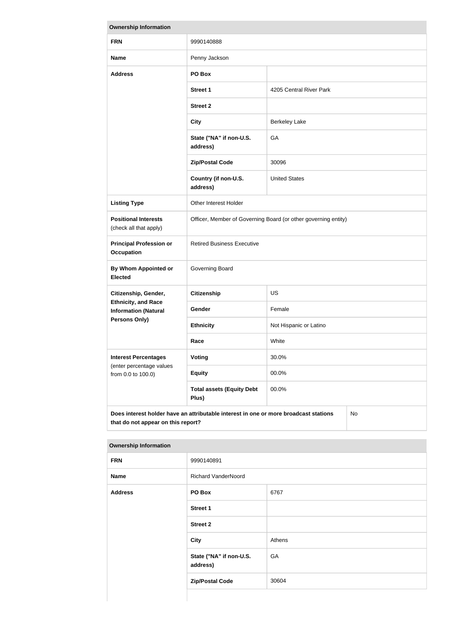| <b>Ownership Information</b>                                                                                                            |                                                                |                         |  |
|-----------------------------------------------------------------------------------------------------------------------------------------|----------------------------------------------------------------|-------------------------|--|
| <b>FRN</b>                                                                                                                              | 9990140888                                                     |                         |  |
| <b>Name</b>                                                                                                                             | Penny Jackson                                                  |                         |  |
| <b>Address</b>                                                                                                                          | PO Box                                                         |                         |  |
|                                                                                                                                         | <b>Street 1</b>                                                | 4205 Central River Park |  |
|                                                                                                                                         | <b>Street 2</b>                                                |                         |  |
|                                                                                                                                         | <b>City</b>                                                    | <b>Berkeley Lake</b>    |  |
|                                                                                                                                         | State ("NA" if non-U.S.<br>address)                            | GA                      |  |
|                                                                                                                                         | <b>Zip/Postal Code</b>                                         | 30096                   |  |
|                                                                                                                                         | Country (if non-U.S.<br>address)                               | <b>United States</b>    |  |
| <b>Listing Type</b>                                                                                                                     | Other Interest Holder                                          |                         |  |
| <b>Positional Interests</b><br>(check all that apply)                                                                                   | Officer, Member of Governing Board (or other governing entity) |                         |  |
| <b>Principal Profession or</b><br><b>Occupation</b>                                                                                     | <b>Retired Business Executive</b>                              |                         |  |
| <b>By Whom Appointed or</b><br><b>Elected</b>                                                                                           | Governing Board                                                |                         |  |
| Citizenship, Gender,                                                                                                                    | <b>Citizenship</b>                                             | <b>US</b>               |  |
| <b>Ethnicity, and Race</b><br><b>Information (Natural</b>                                                                               | <b>Gender</b>                                                  | Female                  |  |
| Persons Only)                                                                                                                           | <b>Ethnicity</b>                                               | Not Hispanic or Latino  |  |
|                                                                                                                                         | Race                                                           | White                   |  |
| <b>Interest Percentages</b><br>(enter percentage values                                                                                 | Voting                                                         | 30.0%                   |  |
| from 0.0 to 100.0)                                                                                                                      | <b>Equity</b>                                                  | 00.0%                   |  |
|                                                                                                                                         | <b>Total assets (Equity Debt</b><br>Plus)                      | 00.0%                   |  |
| Does interest holder have an attributable interest in one or more broadcast stations<br><b>No</b><br>that do not appear on this report? |                                                                |                         |  |

| <b>Ownership Information</b> |                                     |        |
|------------------------------|-------------------------------------|--------|
| <b>FRN</b>                   | 9990140891                          |        |
| <b>Name</b>                  | <b>Richard VanderNoord</b>          |        |
| <b>Address</b>               | PO Box                              | 6767   |
|                              | <b>Street 1</b>                     |        |
|                              | <b>Street 2</b>                     |        |
|                              | <b>City</b>                         | Athens |
|                              | State ("NA" if non-U.S.<br>address) | GA     |
|                              | <b>Zip/Postal Code</b>              | 30604  |
|                              |                                     |        |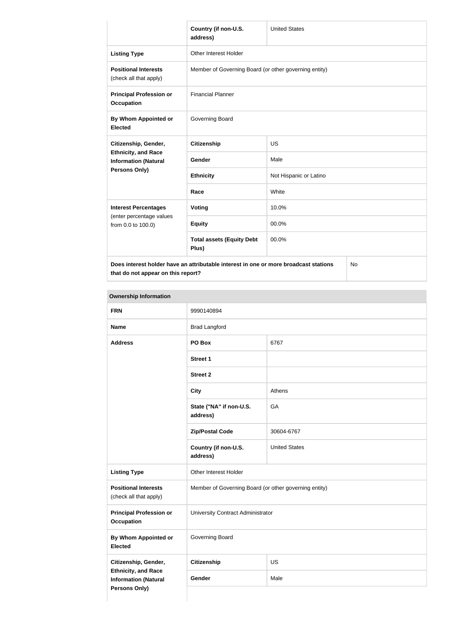|                                                                                                                                                                                                                                                                                                                                                        | Country (if non-U.S.<br>address)                      | <b>United States</b>   |  |
|--------------------------------------------------------------------------------------------------------------------------------------------------------------------------------------------------------------------------------------------------------------------------------------------------------------------------------------------------------|-------------------------------------------------------|------------------------|--|
| <b>Listing Type</b>                                                                                                                                                                                                                                                                                                                                    | <b>Other Interest Holder</b>                          |                        |  |
| <b>Positional Interests</b><br>(check all that apply)                                                                                                                                                                                                                                                                                                  | Member of Governing Board (or other governing entity) |                        |  |
| <b>Principal Profession or</b><br><b>Occupation</b>                                                                                                                                                                                                                                                                                                    | <b>Financial Planner</b>                              |                        |  |
| By Whom Appointed or<br><b>Elected</b>                                                                                                                                                                                                                                                                                                                 | Governing Board                                       |                        |  |
| Citizenship, Gender,                                                                                                                                                                                                                                                                                                                                   | <b>Citizenship</b>                                    | <b>US</b>              |  |
| <b>Ethnicity, and Race</b><br><b>Information (Natural</b>                                                                                                                                                                                                                                                                                              | <b>Gender</b>                                         | Male                   |  |
| <b>Persons Only)</b>                                                                                                                                                                                                                                                                                                                                   | <b>Ethnicity</b>                                      | Not Hispanic or Latino |  |
|                                                                                                                                                                                                                                                                                                                                                        | Race                                                  | White                  |  |
| <b>Interest Percentages</b>                                                                                                                                                                                                                                                                                                                            | Voting                                                | 10.0%                  |  |
| (enter percentage values<br>from 0.0 to 100.0)                                                                                                                                                                                                                                                                                                         | <b>Equity</b>                                         | 00.0%                  |  |
|                                                                                                                                                                                                                                                                                                                                                        | <b>Total assets (Equity Debt</b><br>Plus)             | 00.0%                  |  |
| $\sim$ 2010 and 2010 and 2010 and 2010 and 2010 and 2010 and 2010 and 2010 and 2010 and 2010 and 2010 and 2010 and 2010 and 2010 and 2010 and 2010 and 2010 and 2010 and 2010 and 2010 and 2010 and 2010 and 2010 and 2010 and<br>the contract of the contract of the contract of the contract of the contract of the contract of the contract of<br>. |                                                       |                        |  |

**Does interest holder have an attributable interest in one or more broadcast stations that do not appear on this report?**

No

| <b>Ownership Information</b>                              |                                                       |                      |  |
|-----------------------------------------------------------|-------------------------------------------------------|----------------------|--|
| <b>FRN</b>                                                | 9990140894                                            |                      |  |
| <b>Name</b>                                               | <b>Brad Langford</b>                                  |                      |  |
| <b>Address</b>                                            | PO Box                                                | 6767                 |  |
|                                                           | <b>Street 1</b>                                       |                      |  |
|                                                           | <b>Street 2</b>                                       |                      |  |
|                                                           | <b>City</b>                                           | Athens               |  |
|                                                           | State ("NA" if non-U.S.<br>address)                   | GA                   |  |
|                                                           | <b>Zip/Postal Code</b>                                | 30604-6767           |  |
|                                                           | Country (if non-U.S.<br>address)                      | <b>United States</b> |  |
| <b>Listing Type</b>                                       | Other Interest Holder                                 |                      |  |
| <b>Positional Interests</b><br>(check all that apply)     | Member of Governing Board (or other governing entity) |                      |  |
| <b>Principal Profession or</b><br><b>Occupation</b>       | University Contract Administrator                     |                      |  |
| By Whom Appointed or<br><b>Elected</b>                    | Governing Board                                       |                      |  |
| Citizenship, Gender,                                      | <b>Citizenship</b>                                    | <b>US</b>            |  |
| <b>Ethnicity, and Race</b><br><b>Information (Natural</b> | Gender                                                | Male                 |  |
| Persons Only)                                             |                                                       |                      |  |